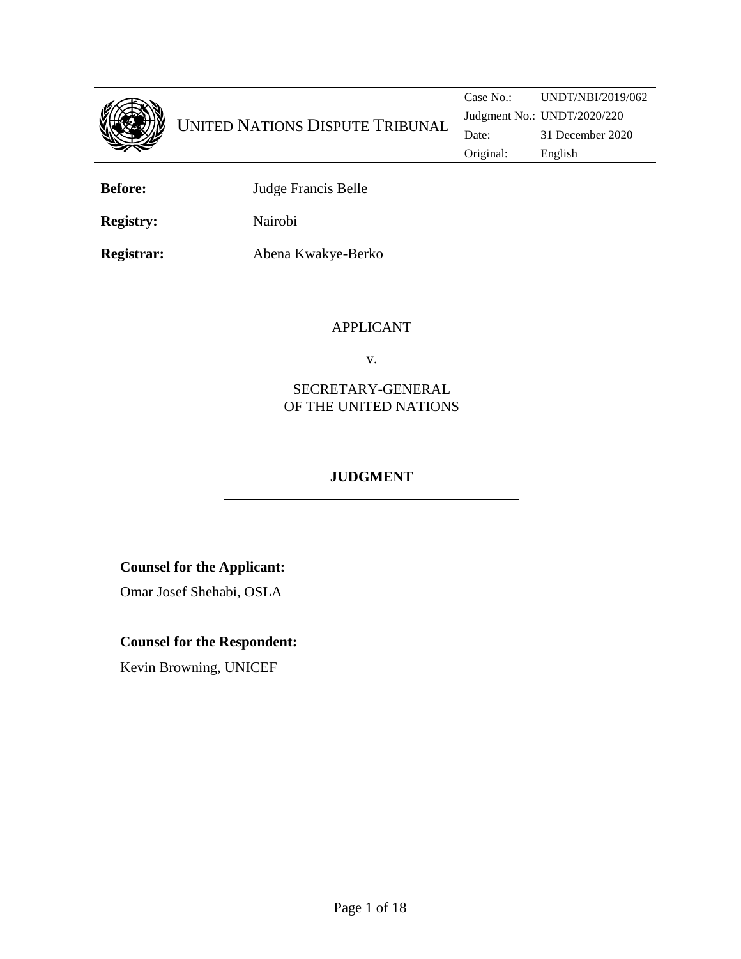

**Before:** Judge Francis Belle

**Registry:** Nairobi

**Registrar:** Abena Kwakye-Berko

### APPLICANT

v.

## SECRETARY-GENERAL OF THE UNITED NATIONS

# **JUDGMENT**

# **Counsel for the Applicant:**

Omar Josef Shehabi, OSLA

# **Counsel for the Respondent:**

Kevin Browning, UNICEF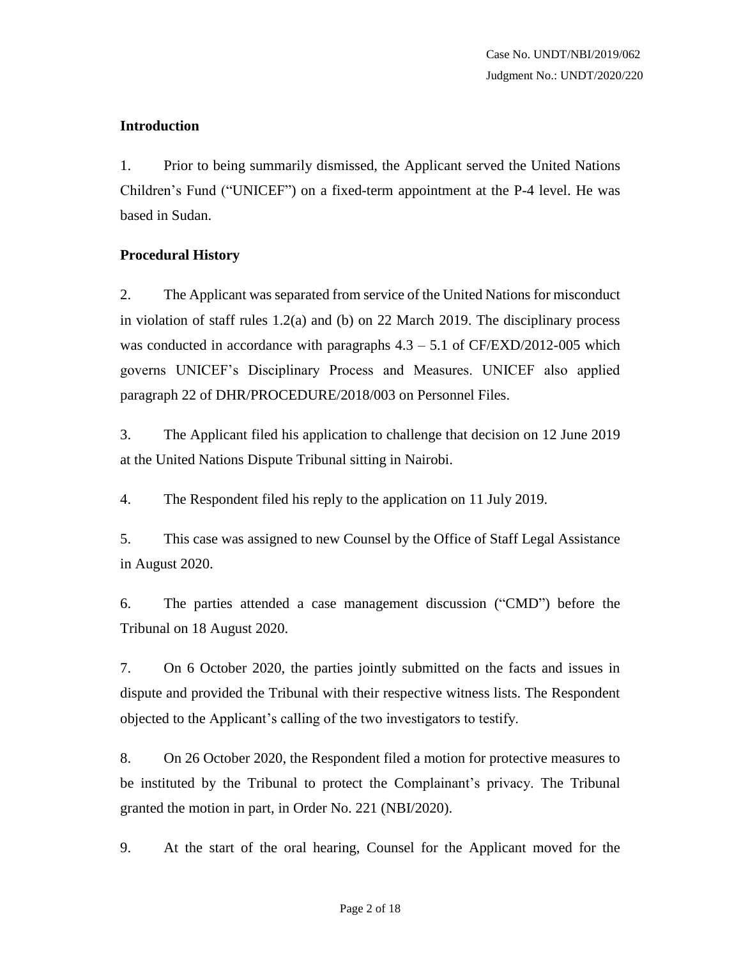## **Introduction**

1. Prior to being summarily dismissed, the Applicant served the United Nations Children's Fund ("UNICEF") on a fixed-term appointment at the P-4 level. He was based in Sudan.

## **Procedural History**

2. The Applicant was separated from service of the United Nations for misconduct in violation of staff rules 1.2(a) and (b) on 22 March 2019. The disciplinary process was conducted in accordance with paragraphs  $4.3 - 5.1$  of CF/EXD/2012-005 which governs UNICEF's Disciplinary Process and Measures. UNICEF also applied paragraph 22 of DHR/PROCEDURE/2018/003 on Personnel Files.

3. The Applicant filed his application to challenge that decision on 12 June 2019 at the United Nations Dispute Tribunal sitting in Nairobi.

4. The Respondent filed his reply to the application on 11 July 2019.

5. This case was assigned to new Counsel by the Office of Staff Legal Assistance in August 2020.

6. The parties attended a case management discussion ("CMD") before the Tribunal on 18 August 2020.

7. On 6 October 2020, the parties jointly submitted on the facts and issues in dispute and provided the Tribunal with their respective witness lists. The Respondent objected to the Applicant's calling of the two investigators to testify.

8. On 26 October 2020, the Respondent filed a motion for protective measures to be instituted by the Tribunal to protect the Complainant's privacy. The Tribunal granted the motion in part, in Order No. 221 (NBI/2020).

9. At the start of the oral hearing, Counsel for the Applicant moved for the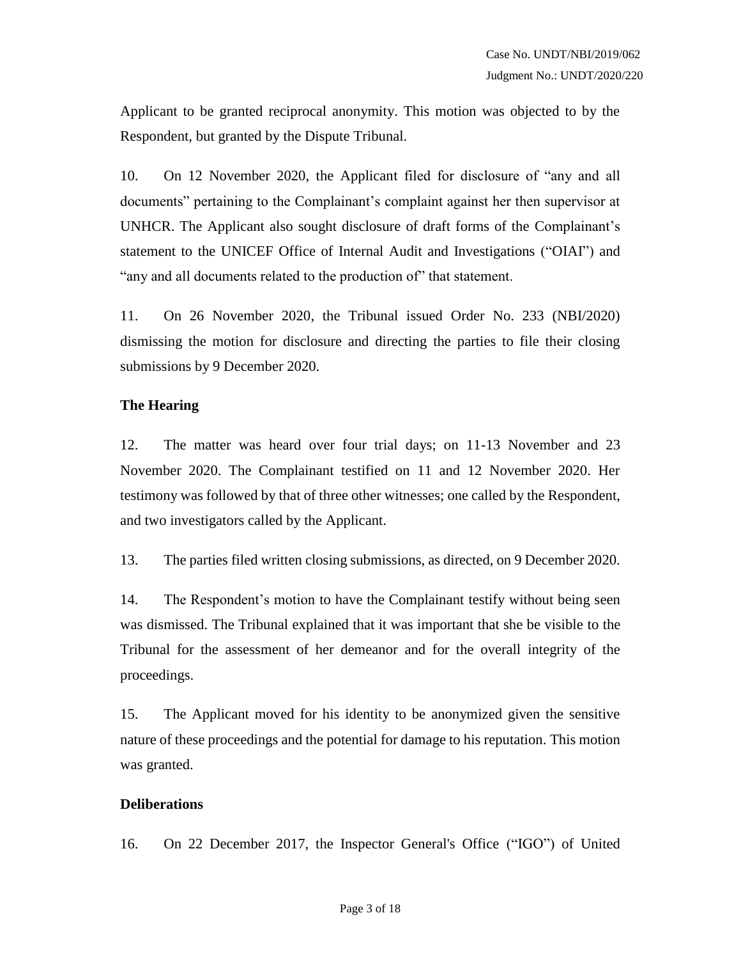Applicant to be granted reciprocal anonymity. This motion was objected to by the Respondent, but granted by the Dispute Tribunal.

10. On 12 November 2020, the Applicant filed for disclosure of "any and all documents" pertaining to the Complainant's complaint against her then supervisor at UNHCR. The Applicant also sought disclosure of draft forms of the Complainant's statement to the UNICEF Office of Internal Audit and Investigations ("OIAI") and "any and all documents related to the production of" that statement.

11. On 26 November 2020, the Tribunal issued Order No. 233 (NBI/2020) dismissing the motion for disclosure and directing the parties to file their closing submissions by 9 December 2020.

### **The Hearing**

12. The matter was heard over four trial days; on 11-13 November and 23 November 2020. The Complainant testified on 11 and 12 November 2020. Her testimony was followed by that of three other witnesses; one called by the Respondent, and two investigators called by the Applicant.

13. The parties filed written closing submissions, as directed, on 9 December 2020.

14. The Respondent's motion to have the Complainant testify without being seen was dismissed. The Tribunal explained that it was important that she be visible to the Tribunal for the assessment of her demeanor and for the overall integrity of the proceedings.

15. The Applicant moved for his identity to be anonymized given the sensitive nature of these proceedings and the potential for damage to his reputation. This motion was granted.

#### **Deliberations**

16. On 22 December 2017, the Inspector General's Office ("IGO") of United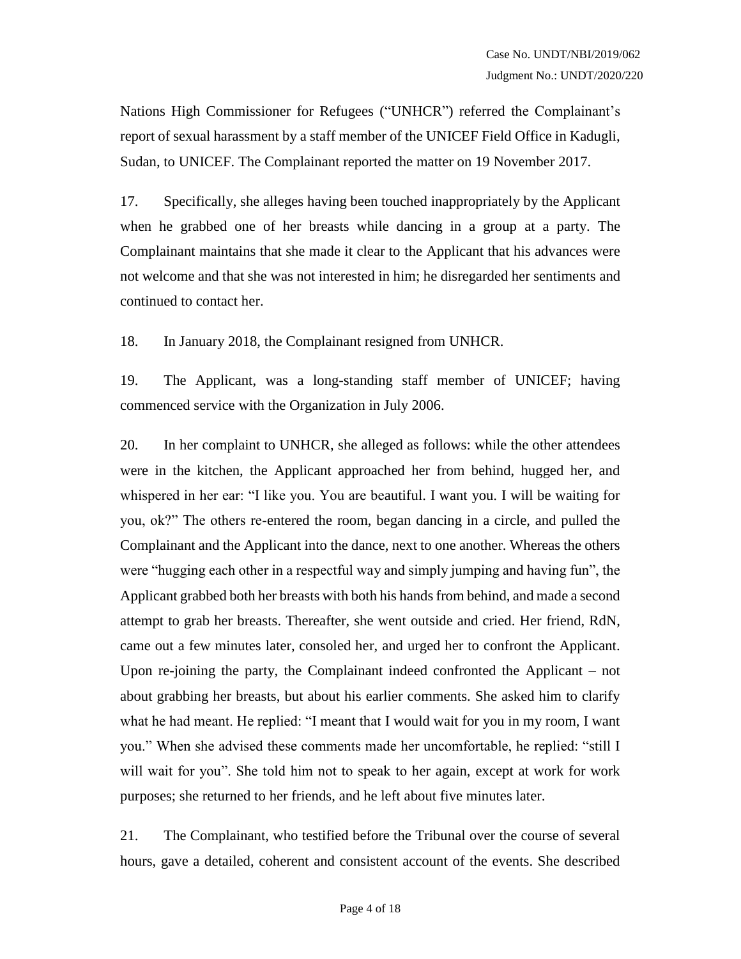Nations High Commissioner for Refugees ("UNHCR") referred the Complainant's report of sexual harassment by a staff member of the UNICEF Field Office in Kadugli, Sudan, to UNICEF. The Complainant reported the matter on 19 November 2017.

17. Specifically, she alleges having been touched inappropriately by the Applicant when he grabbed one of her breasts while dancing in a group at a party. The Complainant maintains that she made it clear to the Applicant that his advances were not welcome and that she was not interested in him; he disregarded her sentiments and continued to contact her.

18. In January 2018, the Complainant resigned from UNHCR.

19. The Applicant, was a long-standing staff member of UNICEF; having commenced service with the Organization in July 2006.

20. In her complaint to UNHCR, she alleged as follows: while the other attendees were in the kitchen, the Applicant approached her from behind, hugged her, and whispered in her ear: "I like you. You are beautiful. I want you. I will be waiting for you, ok?" The others re-entered the room, began dancing in a circle, and pulled the Complainant and the Applicant into the dance, next to one another. Whereas the others were "hugging each other in a respectful way and simply jumping and having fun", the Applicant grabbed both her breasts with both his hands from behind, and made a second attempt to grab her breasts. Thereafter, she went outside and cried. Her friend, RdN, came out a few minutes later, consoled her, and urged her to confront the Applicant. Upon re-joining the party, the Complainant indeed confronted the Applicant – not about grabbing her breasts, but about his earlier comments. She asked him to clarify what he had meant. He replied: "I meant that I would wait for you in my room, I want you." When she advised these comments made her uncomfortable, he replied: "still I will wait for you". She told him not to speak to her again, except at work for work purposes; she returned to her friends, and he left about five minutes later.

21. The Complainant, who testified before the Tribunal over the course of several hours, gave a detailed, coherent and consistent account of the events. She described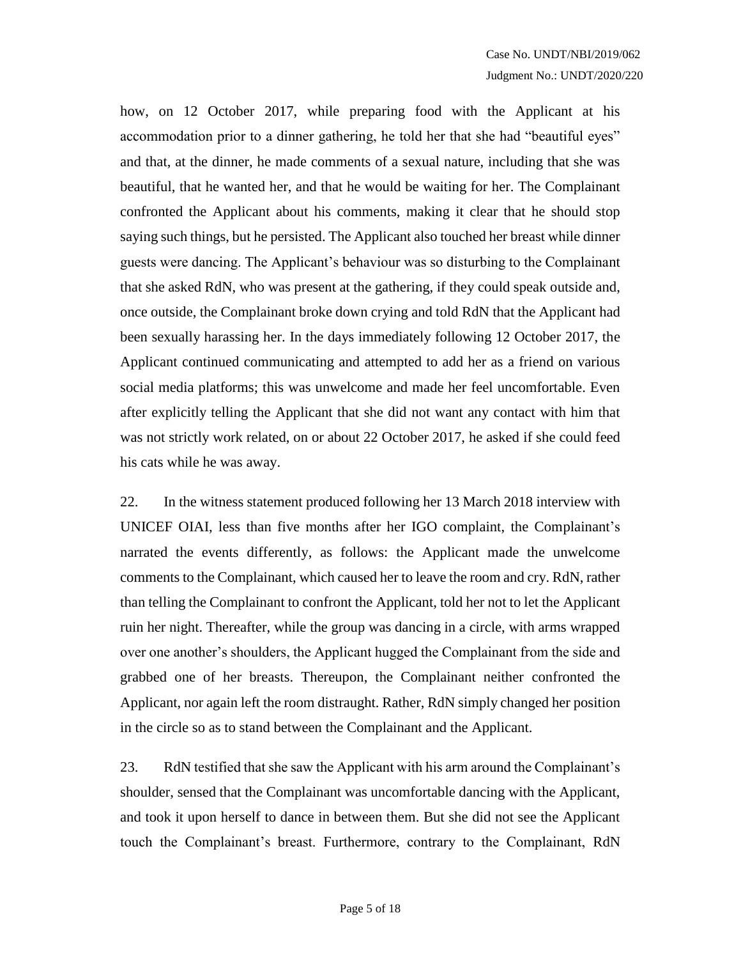how, on 12 October 2017, while preparing food with the Applicant at his accommodation prior to a dinner gathering, he told her that she had "beautiful eyes" and that, at the dinner, he made comments of a sexual nature, including that she was beautiful, that he wanted her, and that he would be waiting for her. The Complainant confronted the Applicant about his comments, making it clear that he should stop saying such things, but he persisted. The Applicant also touched her breast while dinner guests were dancing. The Applicant's behaviour was so disturbing to the Complainant that she asked RdN, who was present at the gathering, if they could speak outside and, once outside, the Complainant broke down crying and told RdN that the Applicant had been sexually harassing her. In the days immediately following 12 October 2017, the Applicant continued communicating and attempted to add her as a friend on various social media platforms; this was unwelcome and made her feel uncomfortable. Even after explicitly telling the Applicant that she did not want any contact with him that was not strictly work related, on or about 22 October 2017, he asked if she could feed his cats while he was away.

22. In the witness statement produced following her 13 March 2018 interview with UNICEF OIAI, less than five months after her IGO complaint, the Complainant's narrated the events differently, as follows: the Applicant made the unwelcome comments to the Complainant, which caused her to leave the room and cry. RdN, rather than telling the Complainant to confront the Applicant, told her not to let the Applicant ruin her night. Thereafter, while the group was dancing in a circle, with arms wrapped over one another's shoulders, the Applicant hugged the Complainant from the side and grabbed one of her breasts. Thereupon, the Complainant neither confronted the Applicant, nor again left the room distraught. Rather, RdN simply changed her position in the circle so as to stand between the Complainant and the Applicant.

23. RdN testified that she saw the Applicant with his arm around the Complainant's shoulder, sensed that the Complainant was uncomfortable dancing with the Applicant, and took it upon herself to dance in between them. But she did not see the Applicant touch the Complainant's breast. Furthermore, contrary to the Complainant, RdN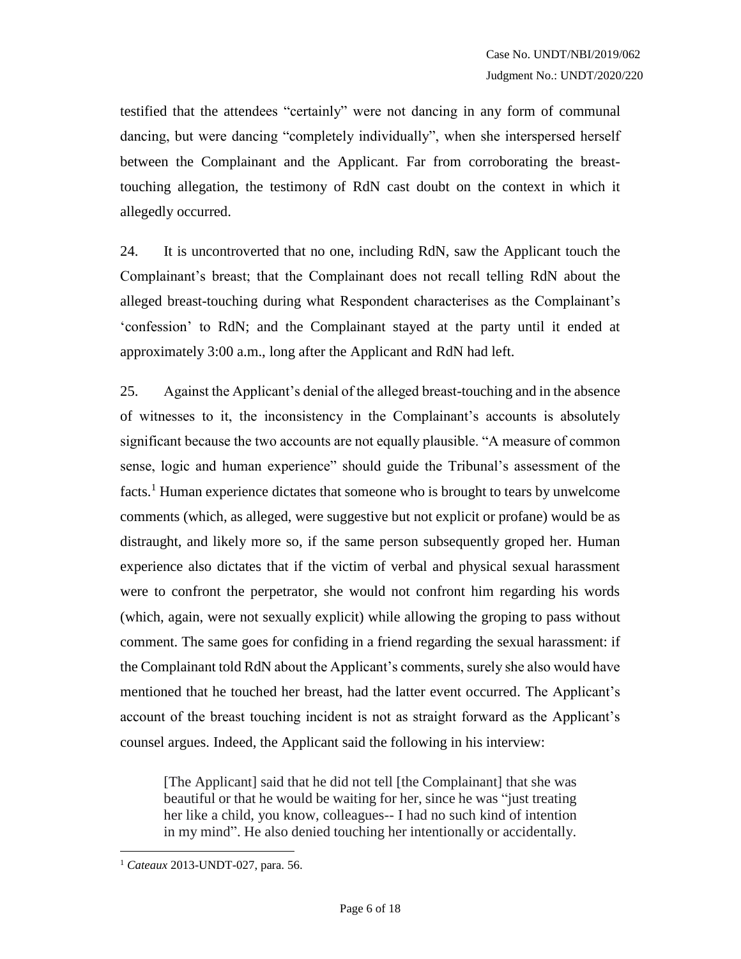testified that the attendees "certainly" were not dancing in any form of communal dancing, but were dancing "completely individually", when she interspersed herself between the Complainant and the Applicant. Far from corroborating the breasttouching allegation, the testimony of RdN cast doubt on the context in which it allegedly occurred.

24. It is uncontroverted that no one, including RdN, saw the Applicant touch the Complainant's breast; that the Complainant does not recall telling RdN about the alleged breast-touching during what Respondent characterises as the Complainant's 'confession' to RdN; and the Complainant stayed at the party until it ended at approximately 3:00 a.m., long after the Applicant and RdN had left.

25. Against the Applicant's denial of the alleged breast-touching and in the absence of witnesses to it, the inconsistency in the Complainant's accounts is absolutely significant because the two accounts are not equally plausible. "A measure of common sense, logic and human experience" should guide the Tribunal's assessment of the facts.<sup>1</sup> Human experience dictates that someone who is brought to tears by unwelcome comments (which, as alleged, were suggestive but not explicit or profane) would be as distraught, and likely more so, if the same person subsequently groped her. Human experience also dictates that if the victim of verbal and physical sexual harassment were to confront the perpetrator, she would not confront him regarding his words (which, again, were not sexually explicit) while allowing the groping to pass without comment. The same goes for confiding in a friend regarding the sexual harassment: if the Complainant told RdN about the Applicant's comments, surely she also would have mentioned that he touched her breast, had the latter event occurred. The Applicant's account of the breast touching incident is not as straight forward as the Applicant's counsel argues. Indeed, the Applicant said the following in his interview:

[The Applicant] said that he did not tell [the Complainant] that she was beautiful or that he would be waiting for her, since he was "just treating her like a child, you know, colleagues-- I had no such kind of intention in my mind". He also denied touching her intentionally or accidentally.

 $\overline{a}$ 

<sup>1</sup> *Cateaux* 2013-UNDT-027, para. 56.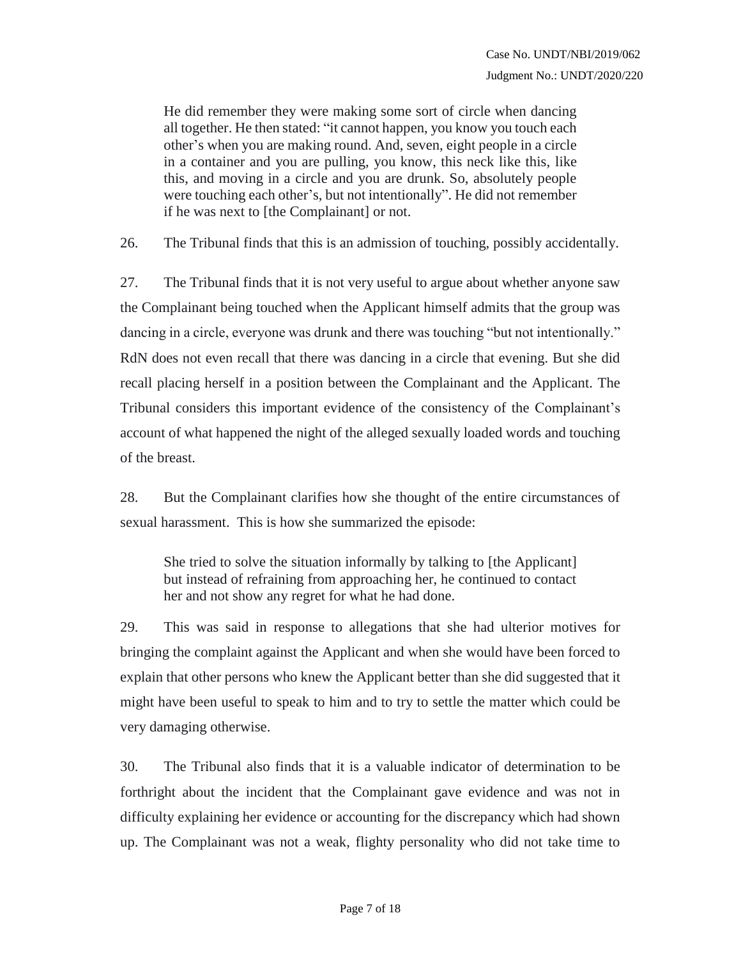He did remember they were making some sort of circle when dancing all together. He then stated: "it cannot happen, you know you touch each other's when you are making round. And, seven, eight people in a circle in a container and you are pulling, you know, this neck like this, like this, and moving in a circle and you are drunk. So, absolutely people were touching each other's, but not intentionally". He did not remember if he was next to [the Complainant] or not.

26. The Tribunal finds that this is an admission of touching, possibly accidentally.

27. The Tribunal finds that it is not very useful to argue about whether anyone saw the Complainant being touched when the Applicant himself admits that the group was dancing in a circle, everyone was drunk and there was touching "but not intentionally." RdN does not even recall that there was dancing in a circle that evening. But she did recall placing herself in a position between the Complainant and the Applicant. The Tribunal considers this important evidence of the consistency of the Complainant's account of what happened the night of the alleged sexually loaded words and touching of the breast.

28. But the Complainant clarifies how she thought of the entire circumstances of sexual harassment. This is how she summarized the episode:

She tried to solve the situation informally by talking to [the Applicant] but instead of refraining from approaching her, he continued to contact her and not show any regret for what he had done.

29. This was said in response to allegations that she had ulterior motives for bringing the complaint against the Applicant and when she would have been forced to explain that other persons who knew the Applicant better than she did suggested that it might have been useful to speak to him and to try to settle the matter which could be very damaging otherwise.

30. The Tribunal also finds that it is a valuable indicator of determination to be forthright about the incident that the Complainant gave evidence and was not in difficulty explaining her evidence or accounting for the discrepancy which had shown up. The Complainant was not a weak, flighty personality who did not take time to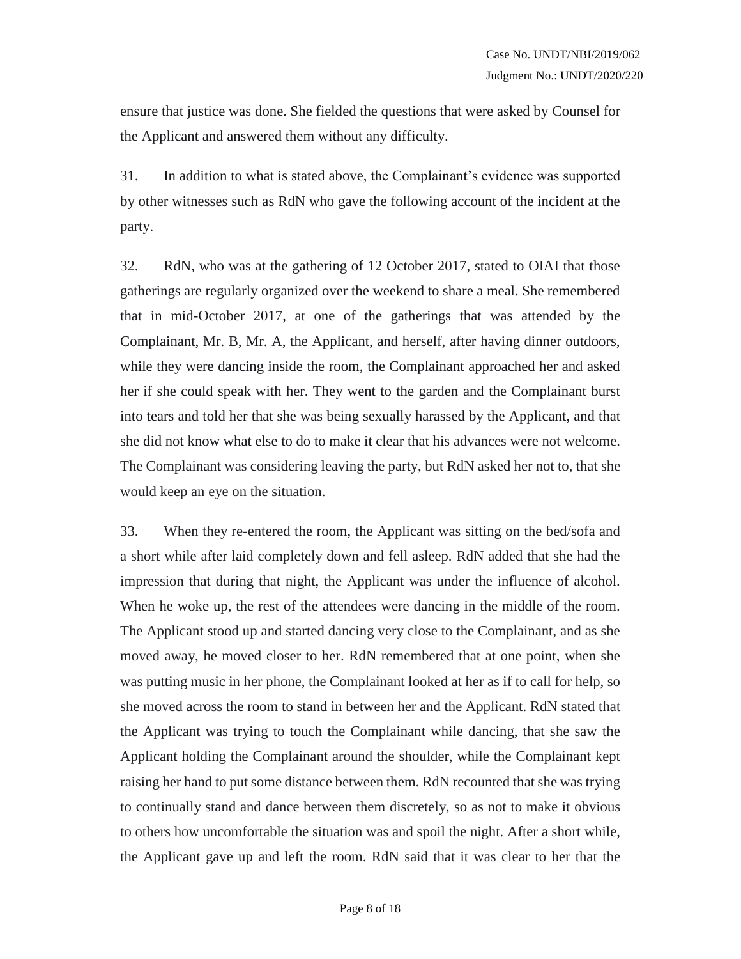ensure that justice was done. She fielded the questions that were asked by Counsel for the Applicant and answered them without any difficulty.

31. In addition to what is stated above, the Complainant's evidence was supported by other witnesses such as RdN who gave the following account of the incident at the party.

32. RdN, who was at the gathering of 12 October 2017, stated to OIAI that those gatherings are regularly organized over the weekend to share a meal. She remembered that in mid-October 2017, at one of the gatherings that was attended by the Complainant, Mr. B, Mr. A, the Applicant, and herself, after having dinner outdoors, while they were dancing inside the room, the Complainant approached her and asked her if she could speak with her. They went to the garden and the Complainant burst into tears and told her that she was being sexually harassed by the Applicant, and that she did not know what else to do to make it clear that his advances were not welcome. The Complainant was considering leaving the party, but RdN asked her not to, that she would keep an eye on the situation.

33. When they re-entered the room, the Applicant was sitting on the bed/sofa and a short while after laid completely down and fell asleep. RdN added that she had the impression that during that night, the Applicant was under the influence of alcohol. When he woke up, the rest of the attendees were dancing in the middle of the room. The Applicant stood up and started dancing very close to the Complainant, and as she moved away, he moved closer to her. RdN remembered that at one point, when she was putting music in her phone, the Complainant looked at her as if to call for help, so she moved across the room to stand in between her and the Applicant. RdN stated that the Applicant was trying to touch the Complainant while dancing, that she saw the Applicant holding the Complainant around the shoulder, while the Complainant kept raising her hand to put some distance between them. RdN recounted that she was trying to continually stand and dance between them discretely, so as not to make it obvious to others how uncomfortable the situation was and spoil the night. After a short while, the Applicant gave up and left the room. RdN said that it was clear to her that the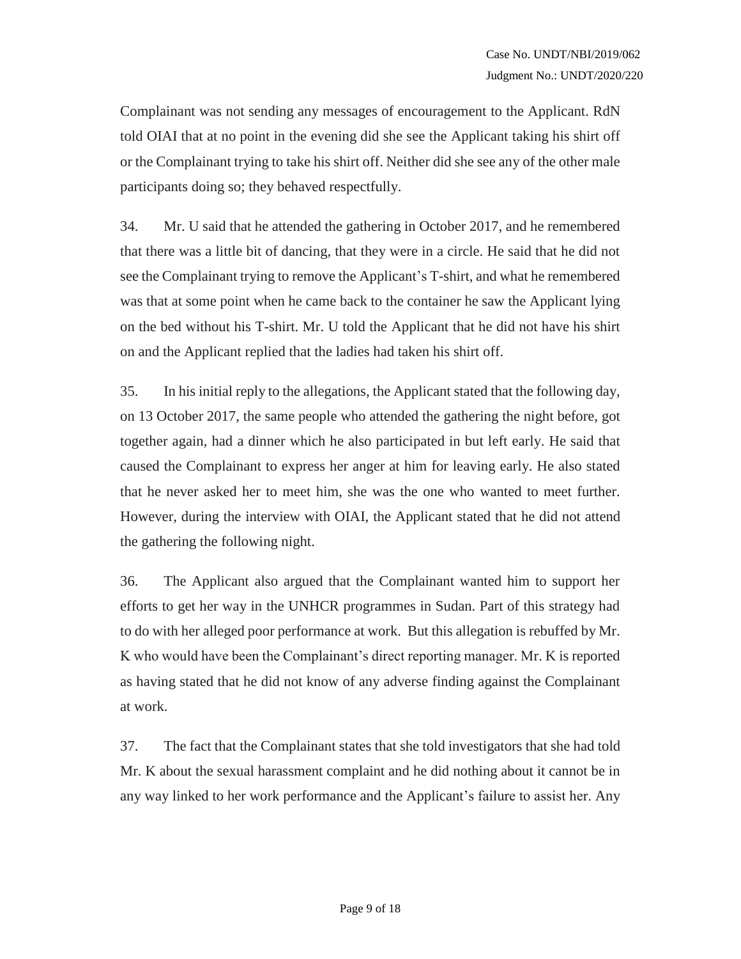Complainant was not sending any messages of encouragement to the Applicant. RdN told OIAI that at no point in the evening did she see the Applicant taking his shirt off or the Complainant trying to take his shirt off. Neither did she see any of the other male participants doing so; they behaved respectfully.

34. Mr. U said that he attended the gathering in October 2017, and he remembered that there was a little bit of dancing, that they were in a circle. He said that he did not see the Complainant trying to remove the Applicant's T-shirt, and what he remembered was that at some point when he came back to the container he saw the Applicant lying on the bed without his T-shirt. Mr. U told the Applicant that he did not have his shirt on and the Applicant replied that the ladies had taken his shirt off.

35. In his initial reply to the allegations, the Applicant stated that the following day, on 13 October 2017, the same people who attended the gathering the night before, got together again, had a dinner which he also participated in but left early. He said that caused the Complainant to express her anger at him for leaving early. He also stated that he never asked her to meet him, she was the one who wanted to meet further. However, during the interview with OIAI, the Applicant stated that he did not attend the gathering the following night.

36. The Applicant also argued that the Complainant wanted him to support her efforts to get her way in the UNHCR programmes in Sudan. Part of this strategy had to do with her alleged poor performance at work. But this allegation is rebuffed by Mr. K who would have been the Complainant's direct reporting manager. Mr. K is reported as having stated that he did not know of any adverse finding against the Complainant at work.

37. The fact that the Complainant states that she told investigators that she had told Mr. K about the sexual harassment complaint and he did nothing about it cannot be in any way linked to her work performance and the Applicant's failure to assist her. Any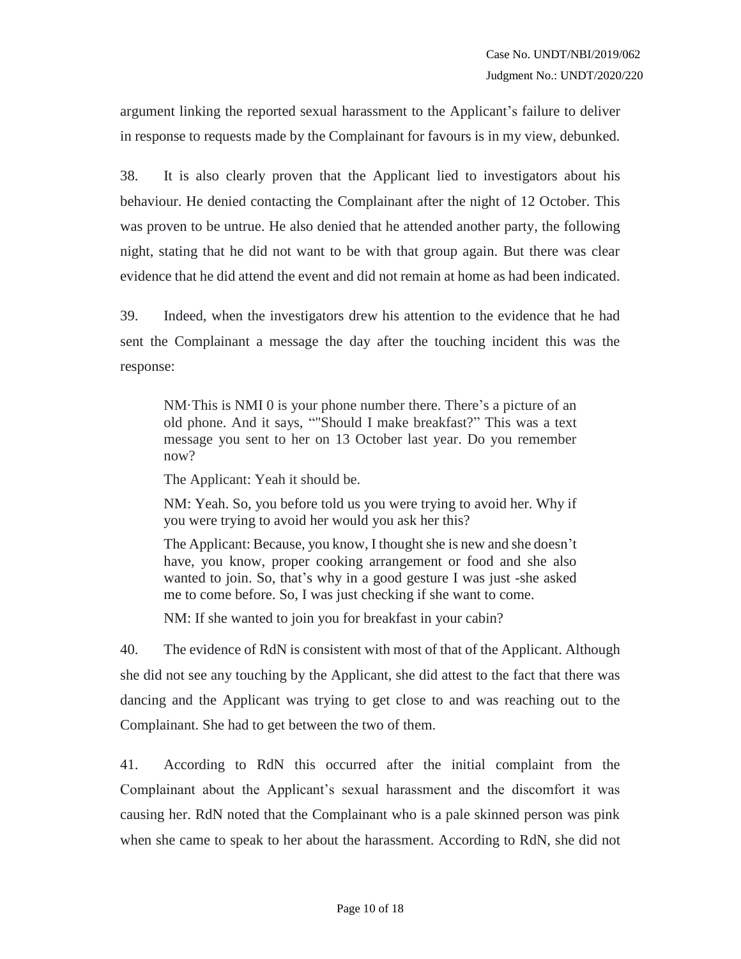argument linking the reported sexual harassment to the Applicant's failure to deliver in response to requests made by the Complainant for favours is in my view, debunked.

38. It is also clearly proven that the Applicant lied to investigators about his behaviour. He denied contacting the Complainant after the night of 12 October. This was proven to be untrue. He also denied that he attended another party, the following night, stating that he did not want to be with that group again. But there was clear evidence that he did attend the event and did not remain at home as had been indicated.

39. Indeed, when the investigators drew his attention to the evidence that he had sent the Complainant a message the day after the touching incident this was the response:

NM·This is NMI 0 is your phone number there. There's a picture of an old phone. And it says, ""Should I make breakfast?" This was a text message you sent to her on 13 October last year. Do you remember now?

The Applicant: Yeah it should be.

NM: Yeah. So, you before told us you were trying to avoid her. Why if you were trying to avoid her would you ask her this?

The Applicant: Because, you know, I thought she is new and she doesn't have, you know, proper cooking arrangement or food and she also wanted to join. So, that's why in a good gesture I was just -she asked me to come before. So, I was just checking if she want to come.

NM: If she wanted to join you for breakfast in your cabin?

40. The evidence of RdN is consistent with most of that of the Applicant. Although she did not see any touching by the Applicant, she did attest to the fact that there was dancing and the Applicant was trying to get close to and was reaching out to the Complainant. She had to get between the two of them.

41. According to RdN this occurred after the initial complaint from the Complainant about the Applicant's sexual harassment and the discomfort it was causing her. RdN noted that the Complainant who is a pale skinned person was pink when she came to speak to her about the harassment. According to RdN, she did not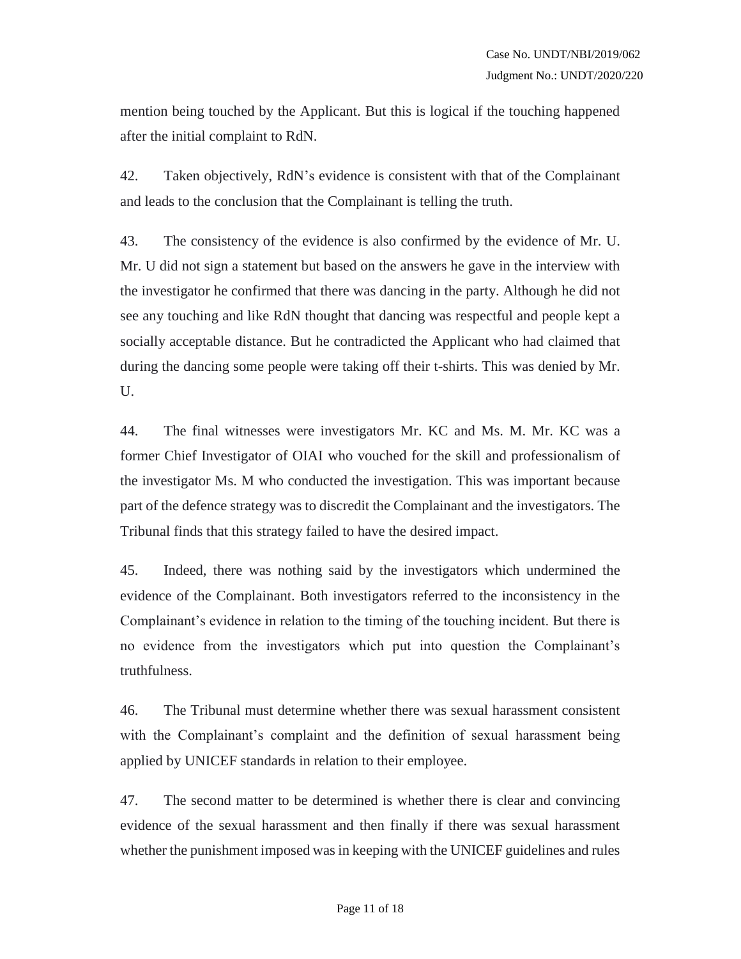mention being touched by the Applicant. But this is logical if the touching happened after the initial complaint to RdN.

42. Taken objectively, RdN's evidence is consistent with that of the Complainant and leads to the conclusion that the Complainant is telling the truth.

43. The consistency of the evidence is also confirmed by the evidence of Mr. U. Mr. U did not sign a statement but based on the answers he gave in the interview with the investigator he confirmed that there was dancing in the party. Although he did not see any touching and like RdN thought that dancing was respectful and people kept a socially acceptable distance. But he contradicted the Applicant who had claimed that during the dancing some people were taking off their t-shirts. This was denied by Mr. U.

44. The final witnesses were investigators Mr. KC and Ms. M. Mr. KC was a former Chief Investigator of OIAI who vouched for the skill and professionalism of the investigator Ms. M who conducted the investigation. This was important because part of the defence strategy was to discredit the Complainant and the investigators. The Tribunal finds that this strategy failed to have the desired impact.

45. Indeed, there was nothing said by the investigators which undermined the evidence of the Complainant. Both investigators referred to the inconsistency in the Complainant's evidence in relation to the timing of the touching incident. But there is no evidence from the investigators which put into question the Complainant's truthfulness.

46. The Tribunal must determine whether there was sexual harassment consistent with the Complainant's complaint and the definition of sexual harassment being applied by UNICEF standards in relation to their employee.

47. The second matter to be determined is whether there is clear and convincing evidence of the sexual harassment and then finally if there was sexual harassment whether the punishment imposed was in keeping with the UNICEF guidelines and rules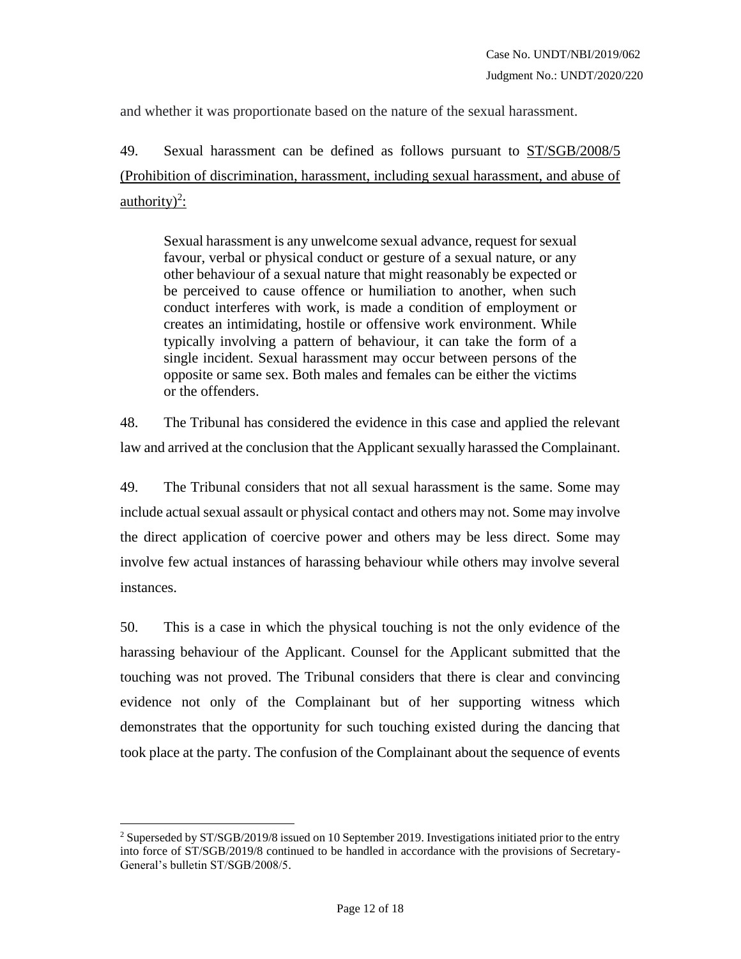and whether it was proportionate based on the nature of the sexual harassment.

49. Sexual harassment can be defined as follows pursuant to ST/SGB/2008/5 (Prohibition of discrimination, harassment, including sexual harassment, and abuse of  $\frac{\text{authority}}{2}$ :

Sexual harassment is any unwelcome sexual advance, request for sexual favour, verbal or physical conduct or gesture of a sexual nature, or any other behaviour of a sexual nature that might reasonably be expected or be perceived to cause offence or humiliation to another, when such conduct interferes with work, is made a condition of employment or creates an intimidating, hostile or offensive work environment. While typically involving a pattern of behaviour, it can take the form of a single incident. Sexual harassment may occur between persons of the opposite or same sex. Both males and females can be either the victims or the offenders.

48. The Tribunal has considered the evidence in this case and applied the relevant law and arrived at the conclusion that the Applicant sexually harassed the Complainant.

49. The Tribunal considers that not all sexual harassment is the same. Some may include actual sexual assault or physical contact and others may not. Some may involve the direct application of coercive power and others may be less direct. Some may involve few actual instances of harassing behaviour while others may involve several instances.

50. This is a case in which the physical touching is not the only evidence of the harassing behaviour of the Applicant. Counsel for the Applicant submitted that the touching was not proved. The Tribunal considers that there is clear and convincing evidence not only of the Complainant but of her supporting witness which demonstrates that the opportunity for such touching existed during the dancing that took place at the party. The confusion of the Complainant about the sequence of events

 $\overline{a}$ 

<sup>2</sup> Superseded by ST/SGB/2019/8 issued on 10 September 2019. Investigations initiated prior to the entry into force of ST/SGB/2019/8 continued to be handled in accordance with the provisions of Secretary-General's bulletin ST/SGB/2008/5.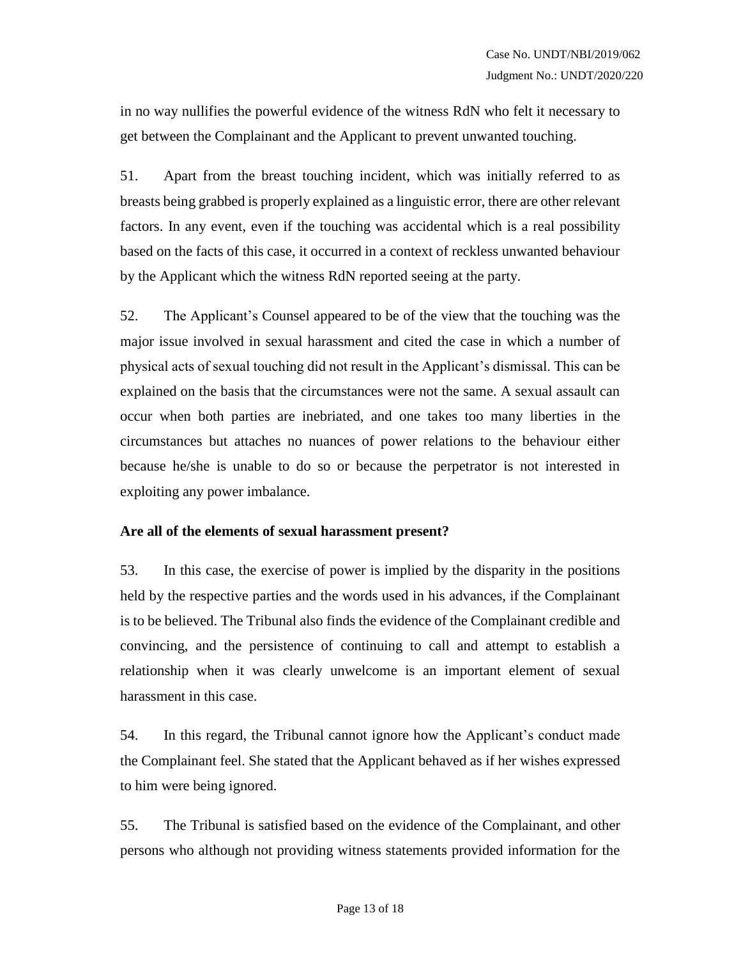in no way nullifies the powerful evidence of the witness RdN who felt it necessary to get between the Complainant and the Applicant to prevent unwanted touching.

51. Apart from the breast touching incident, which was initially referred to as breasts being grabbed is properly explained as a linguistic error, there are other relevant factors. In any event, even if the touching was accidental which is a real possibility based on the facts of this case, it occurred in a context of reckless unwanted behaviour by the Applicant which the witness RdN reported seeing at the party.

52. The Applicant's Counsel appeared to be of the view that the touching was the major issue involved in sexual harassment and cited the case in which a number of physical acts of sexual touching did not result in the Applicant's dismissal. This can be explained on the basis that the circumstances were not the same. A sexual assault can occur when both parties are inebriated, and one takes too many liberties in the circumstances but attaches no nuances of power relations to the behaviour either because he/she is unable to do so or because the perpetrator is not interested in exploiting any power imbalance.

#### **Are all of the elements of sexual harassment present?**

53. In this case, the exercise of power is implied by the disparity in the positions held by the respective parties and the words used in his advances, if the Complainant is to be believed. The Tribunal also finds the evidence of the Complainant credible and convincing, and the persistence of continuing to call and attempt to establish a relationship when it was clearly unwelcome is an important element of sexual harassment in this case.

54. In this regard, the Tribunal cannot ignore how the Applicant's conduct made the Complainant feel. She stated that the Applicant behaved as if her wishes expressed to him were being ignored.

55. The Tribunal is satisfied based on the evidence of the Complainant, and other persons who although not providing witness statements provided information for the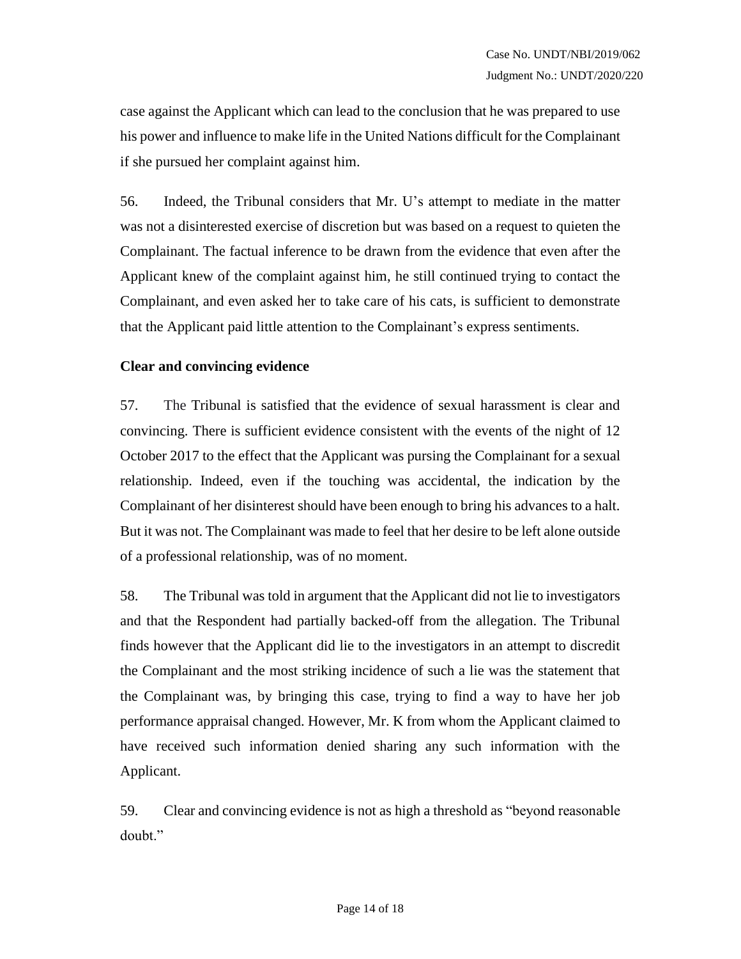case against the Applicant which can lead to the conclusion that he was prepared to use his power and influence to make life in the United Nations difficult for the Complainant if she pursued her complaint against him.

56. Indeed, the Tribunal considers that Mr. U's attempt to mediate in the matter was not a disinterested exercise of discretion but was based on a request to quieten the Complainant. The factual inference to be drawn from the evidence that even after the Applicant knew of the complaint against him, he still continued trying to contact the Complainant, and even asked her to take care of his cats, is sufficient to demonstrate that the Applicant paid little attention to the Complainant's express sentiments.

#### **Clear and convincing evidence**

57. The Tribunal is satisfied that the evidence of sexual harassment is clear and convincing. There is sufficient evidence consistent with the events of the night of 12 October 2017 to the effect that the Applicant was pursing the Complainant for a sexual relationship. Indeed, even if the touching was accidental, the indication by the Complainant of her disinterest should have been enough to bring his advances to a halt. But it was not. The Complainant was made to feel that her desire to be left alone outside of a professional relationship, was of no moment.

58. The Tribunal was told in argument that the Applicant did not lie to investigators and that the Respondent had partially backed-off from the allegation. The Tribunal finds however that the Applicant did lie to the investigators in an attempt to discredit the Complainant and the most striking incidence of such a lie was the statement that the Complainant was, by bringing this case, trying to find a way to have her job performance appraisal changed. However, Mr. K from whom the Applicant claimed to have received such information denied sharing any such information with the Applicant.

59. Clear and convincing evidence is not as high a threshold as "beyond reasonable doubt."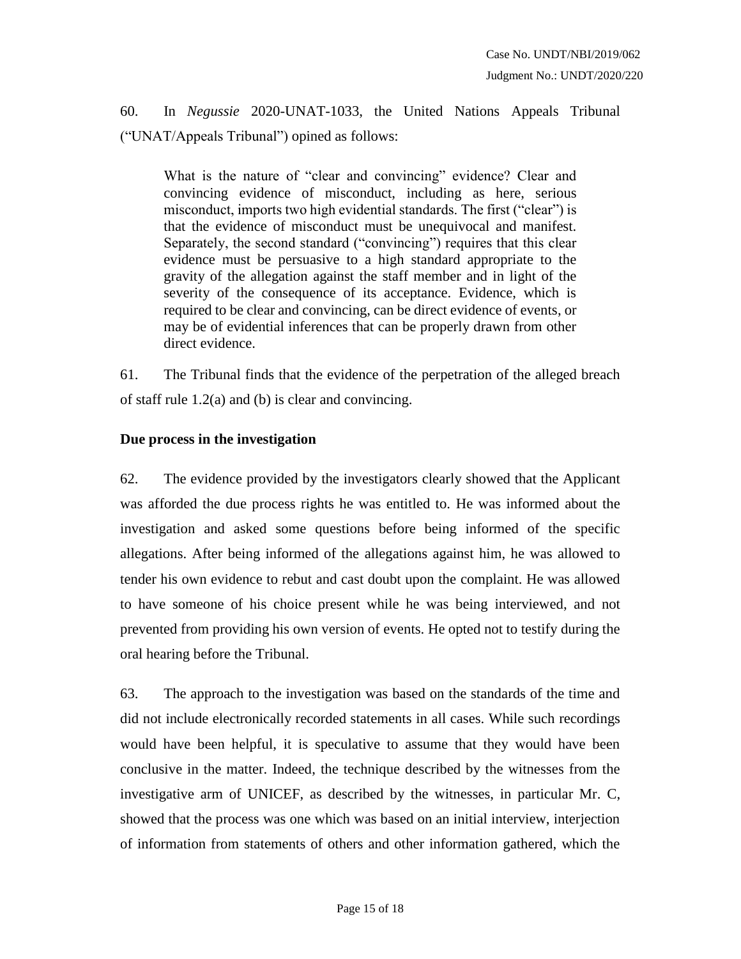60. In *Negussie* 2020-UNAT-1033, the United Nations Appeals Tribunal ("UNAT/Appeals Tribunal") opined as follows:

What is the nature of "clear and convincing" evidence? Clear and convincing evidence of misconduct, including as here, serious misconduct, imports two high evidential standards. The first ("clear") is that the evidence of misconduct must be unequivocal and manifest. Separately, the second standard ("convincing") requires that this clear evidence must be persuasive to a high standard appropriate to the gravity of the allegation against the staff member and in light of the severity of the consequence of its acceptance. Evidence, which is required to be clear and convincing, can be direct evidence of events, or may be of evidential inferences that can be properly drawn from other direct evidence.

61. The Tribunal finds that the evidence of the perpetration of the alleged breach of staff rule 1.2(a) and (b) is clear and convincing.

### **Due process in the investigation**

62. The evidence provided by the investigators clearly showed that the Applicant was afforded the due process rights he was entitled to. He was informed about the investigation and asked some questions before being informed of the specific allegations. After being informed of the allegations against him, he was allowed to tender his own evidence to rebut and cast doubt upon the complaint. He was allowed to have someone of his choice present while he was being interviewed, and not prevented from providing his own version of events. He opted not to testify during the oral hearing before the Tribunal.

63. The approach to the investigation was based on the standards of the time and did not include electronically recorded statements in all cases. While such recordings would have been helpful, it is speculative to assume that they would have been conclusive in the matter. Indeed, the technique described by the witnesses from the investigative arm of UNICEF, as described by the witnesses, in particular Mr. C, showed that the process was one which was based on an initial interview, interjection of information from statements of others and other information gathered, which the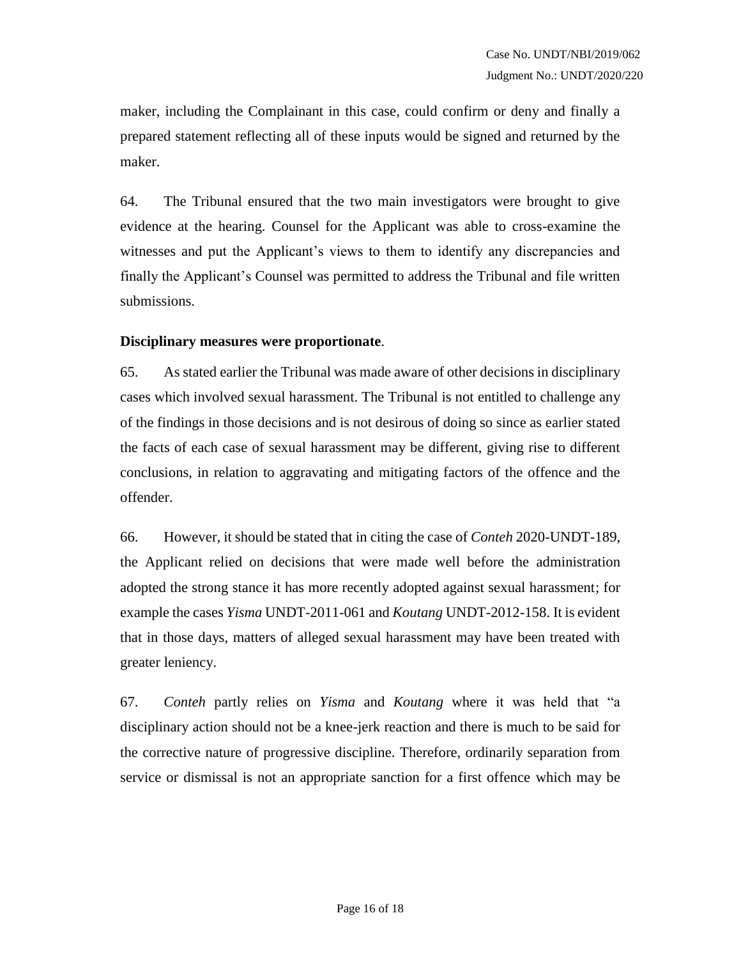maker, including the Complainant in this case, could confirm or deny and finally a prepared statement reflecting all of these inputs would be signed and returned by the maker.

64. The Tribunal ensured that the two main investigators were brought to give evidence at the hearing. Counsel for the Applicant was able to cross-examine the witnesses and put the Applicant's views to them to identify any discrepancies and finally the Applicant's Counsel was permitted to address the Tribunal and file written submissions.

#### **Disciplinary measures were proportionate**.

65. As stated earlier the Tribunal was made aware of other decisions in disciplinary cases which involved sexual harassment. The Tribunal is not entitled to challenge any of the findings in those decisions and is not desirous of doing so since as earlier stated the facts of each case of sexual harassment may be different, giving rise to different conclusions, in relation to aggravating and mitigating factors of the offence and the offender.

66. However, it should be stated that in citing the case of *Conteh* 2020-UNDT-189, the Applicant relied on decisions that were made well before the administration adopted the strong stance it has more recently adopted against sexual harassment; for example the cases *Yisma* UNDT-2011-061 and *Koutang* UNDT-2012-158. It is evident that in those days, matters of alleged sexual harassment may have been treated with greater leniency.

67. *Conteh* partly relies on *Yisma* and *Koutang* where it was held that "a disciplinary action should not be a knee-jerk reaction and there is much to be said for the corrective nature of progressive discipline. Therefore, ordinarily separation from service or dismissal is not an appropriate sanction for a first offence which may be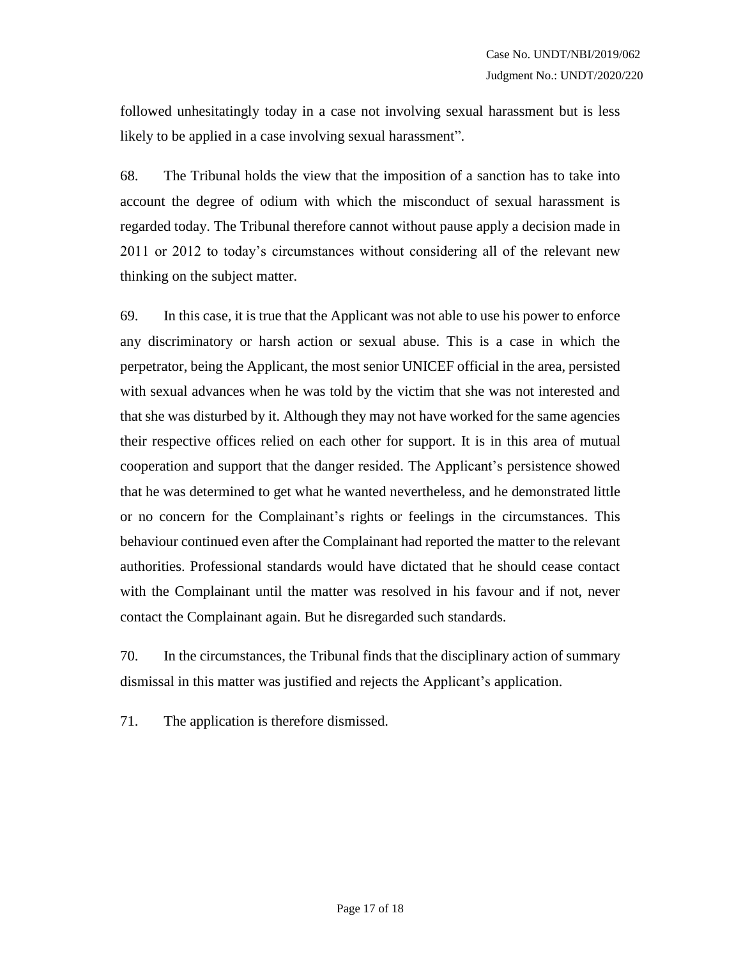followed unhesitatingly today in a case not involving sexual harassment but is less likely to be applied in a case involving sexual harassment".

68. The Tribunal holds the view that the imposition of a sanction has to take into account the degree of odium with which the misconduct of sexual harassment is regarded today. The Tribunal therefore cannot without pause apply a decision made in 2011 or 2012 to today's circumstances without considering all of the relevant new thinking on the subject matter.

69. In this case, it is true that the Applicant was not able to use his power to enforce any discriminatory or harsh action or sexual abuse. This is a case in which the perpetrator, being the Applicant, the most senior UNICEF official in the area, persisted with sexual advances when he was told by the victim that she was not interested and that she was disturbed by it. Although they may not have worked for the same agencies their respective offices relied on each other for support. It is in this area of mutual cooperation and support that the danger resided. The Applicant's persistence showed that he was determined to get what he wanted nevertheless, and he demonstrated little or no concern for the Complainant's rights or feelings in the circumstances. This behaviour continued even after the Complainant had reported the matter to the relevant authorities. Professional standards would have dictated that he should cease contact with the Complainant until the matter was resolved in his favour and if not, never contact the Complainant again. But he disregarded such standards.

70. In the circumstances, the Tribunal finds that the disciplinary action of summary dismissal in this matter was justified and rejects the Applicant's application.

71. The application is therefore dismissed.